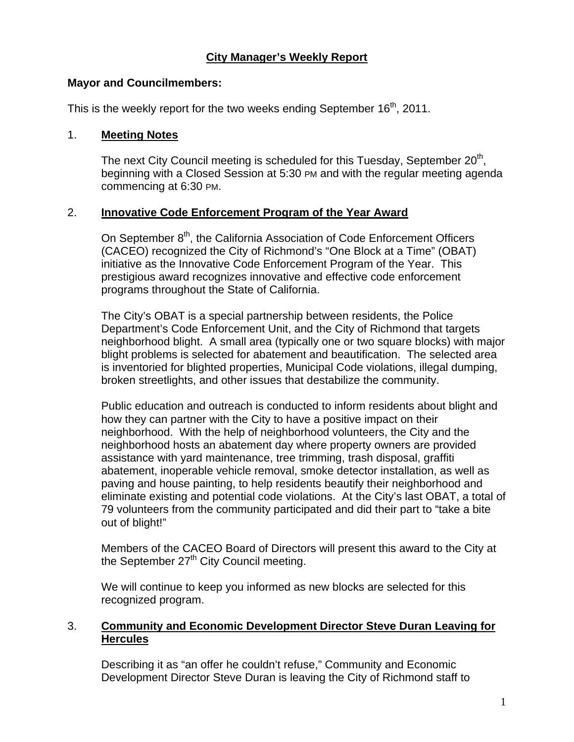# **City Manager's Weekly Report**

#### **Mayor and Councilmembers:**

This is the weekly report for the two weeks ending September  $16<sup>th</sup>$ , 2011.

#### 1. **Meeting Notes**

The next City Council meeting is scheduled for this Tuesday, September  $20<sup>th</sup>$ . beginning with a Closed Session at 5:30 PM and with the regular meeting agenda commencing at 6:30 PM.

#### 2. **Innovative Code Enforcement Program of the Year Award**

On September 8<sup>th</sup>, the California Association of Code Enforcement Officers (CACEO) recognized the City of Richmond's "One Block at a Time" (OBAT) initiative as the Innovative Code Enforcement Program of the Year. This prestigious award recognizes innovative and effective code enforcement programs throughout the State of California.

The City's OBAT is a special partnership between residents, the Police Department's Code Enforcement Unit, and the City of Richmond that targets neighborhood blight. A small area (typically one or two square blocks) with major blight problems is selected for abatement and beautification. The selected area is inventoried for blighted properties, Municipal Code violations, illegal dumping, broken streetlights, and other issues that destabilize the community.

Public education and outreach is conducted to inform residents about blight and how they can partner with the City to have a positive impact on their neighborhood. With the help of neighborhood volunteers, the City and the neighborhood hosts an abatement day where property owners are provided assistance with yard maintenance, tree trimming, trash disposal, graffiti abatement, inoperable vehicle removal, smoke detector installation, as well as paving and house painting, to help residents beautify their neighborhood and eliminate existing and potential code violations. At the City's last OBAT, a total of 79 volunteers from the community participated and did their part to "take a bite out of blight!"

Members of the CACEO Board of Directors will present this award to the City at the September 27<sup>th</sup> City Council meeting.

We will continue to keep you informed as new blocks are selected for this recognized program.

### 3. **Community and Economic Development Director Steve Duran Leaving for Hercules**

Describing it as "an offer he couldn't refuse," Community and Economic Development Director Steve Duran is leaving the City of Richmond staff to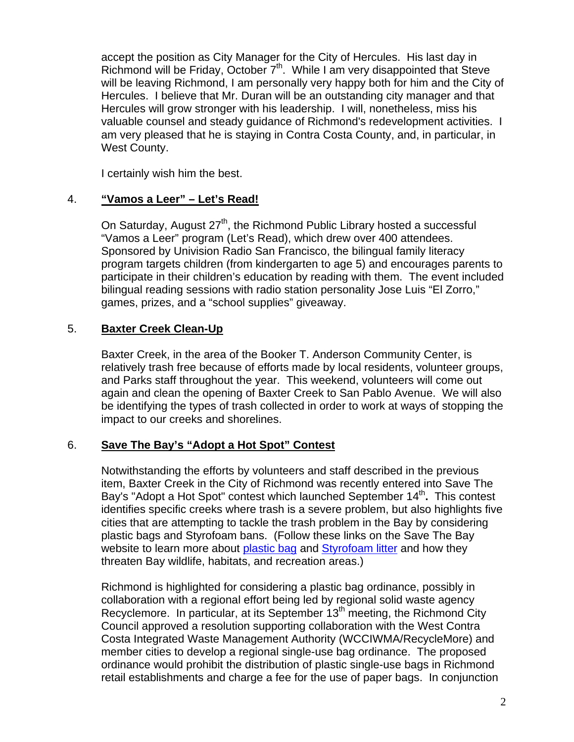accept the position as City Manager for the City of Hercules. His last day in Richmond will be Friday, October 7<sup>th</sup>. While I am very disappointed that Steve will be leaving Richmond, I am personally very happy both for him and the City of Hercules. I believe that Mr. Duran will be an outstanding city manager and that Hercules will grow stronger with his leadership. I will, nonetheless, miss his valuable counsel and steady guidance of Richmond's redevelopment activities. I am very pleased that he is staying in Contra Costa County, and, in particular, in West County.

I certainly wish him the best.

# 4. **"Vamos a Leer" – Let's Read!**

On Saturday, August  $27<sup>th</sup>$ , the Richmond Public Library hosted a successful "Vamos a Leer" program (Let's Read), which drew over 400 attendees. Sponsored by Univision Radio San Francisco, the bilingual family literacy program targets children (from kindergarten to age 5) and encourages parents to participate in their children's education by reading with them. The event included bilingual reading sessions with radio station personality Jose Luis "El Zorro," games, prizes, and a "school supplies" giveaway.

# 5. **Baxter Creek Clean-Up**

Baxter Creek, in the area of the Booker T. Anderson Community Center, is relatively trash free because of efforts made by local residents, volunteer groups, and Parks staff throughout the year. This weekend, volunteers will come out again and clean the opening of Baxter Creek to San Pablo Avenue. We will also be identifying the types of trash collected in order to work at ways of stopping the impact to our creeks and shorelines.

# 6. **Save The Bay's "Adopt a Hot Spot" Contest**

Notwithstanding the efforts by volunteers and staff described in the previous item, Baxter Creek in the City of Richmond was recently entered into Save The Bay's "Adopt a Hot Spot" contest which launched September 14<sup>th</sup>. This contest identifies specific creeks where trash is a severe problem, but also highlights five cities that are attempting to tackle the trash problem in the Bay by considering plastic bags and Styrofoam bans. (Follow these links on the Save The Bay website to learn more about plastic bag and Styrofoam litter and how they threaten Bay wildlife, habitats, and recreation areas.)

Richmond is highlighted for considering a plastic bag ordinance, possibly in collaboration with a regional effort being led by regional solid waste agency Recyclemore. In particular, at its September 13<sup>th</sup> meeting, the Richmond City Council approved a resolution supporting collaboration with the West Contra Costa Integrated Waste Management Authority (WCCIWMA/RecycleMore) and member cities to develop a regional single-use bag ordinance. The proposed ordinance would prohibit the distribution of plastic single-use bags in Richmond retail establishments and charge a fee for the use of paper bags. In conjunction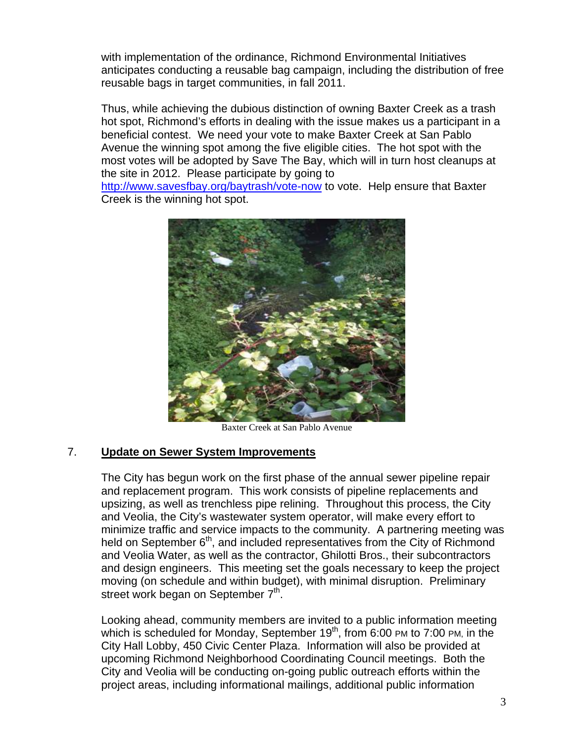with implementation of the ordinance, Richmond Environmental Initiatives anticipates conducting a reusable bag campaign, including the distribution of free reusable bags in target communities, in fall 2011.

Thus, while achieving the dubious distinction of owning Baxter Creek as a trash hot spot, Richmond's efforts in dealing with the issue makes us a participant in a beneficial contest. We need your vote to make Baxter Creek at San Pablo Avenue the winning spot among the five eligible cities. The hot spot with the most votes will be adopted by Save The Bay, which will in turn host cleanups at the site in 2012. Please participate by going to

http://www.savesfbay.org/baytrash/vote-now to vote. Help ensure that Baxter Creek is the winning hot spot.



Baxter Creek at San Pablo Avenue

#### 7. **Update on Sewer System Improvements**

The City has begun work on the first phase of the annual sewer pipeline repair and replacement program. This work consists of pipeline replacements and upsizing, as well as trenchless pipe relining. Throughout this process, the City and Veolia, the City's wastewater system operator, will make every effort to minimize traffic and service impacts to the community. A partnering meeting was held on September 6<sup>th</sup>, and included representatives from the City of Richmond and Veolia Water, as well as the contractor, Ghilotti Bros., their subcontractors and design engineers. This meeting set the goals necessary to keep the project moving (on schedule and within budget), with minimal disruption. Preliminary street work began on September 7<sup>th</sup>.

Looking ahead, community members are invited to a public information meeting which is scheduled for Monday, September 19<sup>th</sup>, from 6:00 PM to 7:00 PM, in the City Hall Lobby, 450 Civic Center Plaza. Information will also be provided at upcoming Richmond Neighborhood Coordinating Council meetings. Both the City and Veolia will be conducting on-going public outreach efforts within the project areas, including informational mailings, additional public information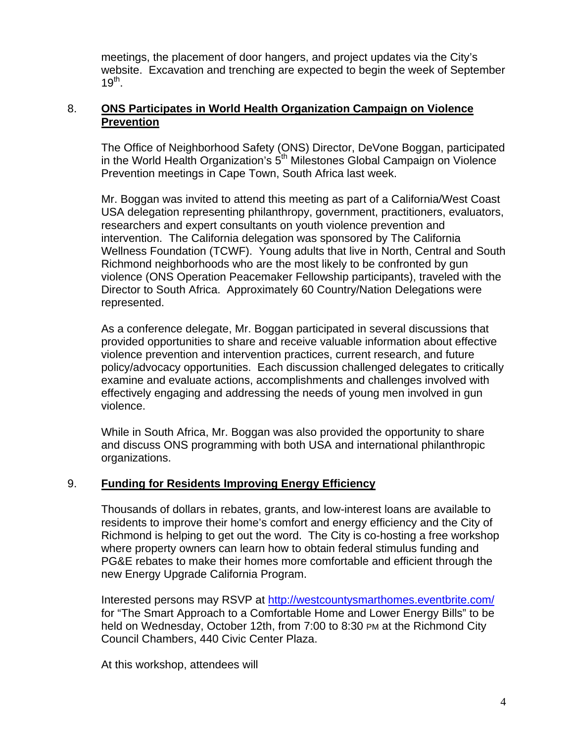meetings, the placement of door hangers, and project updates via the City's website. Excavation and trenching are expected to begin the week of September  $19^{th}$ .

### 8. **ONS Participates in World Health Organization Campaign on Violence Prevention**

The Office of Neighborhood Safety (ONS) Director, DeVone Boggan, participated in the World Health Organization's  $5<sup>th</sup>$  Milestones Global Campaign on Violence Prevention meetings in Cape Town, South Africa last week.

Mr. Boggan was invited to attend this meeting as part of a California/West Coast USA delegation representing philanthropy, government, practitioners, evaluators, researchers and expert consultants on youth violence prevention and intervention. The California delegation was sponsored by The California Wellness Foundation (TCWF). Young adults that live in North, Central and South Richmond neighborhoods who are the most likely to be confronted by gun violence (ONS Operation Peacemaker Fellowship participants), traveled with the Director to South Africa. Approximately 60 Country/Nation Delegations were represented.

As a conference delegate, Mr. Boggan participated in several discussions that provided opportunities to share and receive valuable information about effective violence prevention and intervention practices, current research, and future policy/advocacy opportunities. Each discussion challenged delegates to critically examine and evaluate actions, accomplishments and challenges involved with effectively engaging and addressing the needs of young men involved in gun violence.

While in South Africa, Mr. Boggan was also provided the opportunity to share and discuss ONS programming with both USA and international philanthropic organizations.

# 9. **Funding for Residents Improving Energy Efficiency**

Thousands of dollars in rebates, grants, and low-interest loans are available to residents to improve their home's comfort and energy efficiency and the City of Richmond is helping to get out the word. The City is co-hosting a free workshop where property owners can learn how to obtain federal stimulus funding and PG&E rebates to make their homes more comfortable and efficient through the new Energy Upgrade California Program.

Interested persons may RSVP at http://westcountysmarthomes.eventbrite.com/ for "The Smart Approach to a Comfortable Home and Lower Energy Bills" to be held on Wednesday, October 12th, from 7:00 to 8:30 PM at the Richmond City Council Chambers, 440 Civic Center Plaza.

At this workshop, attendees will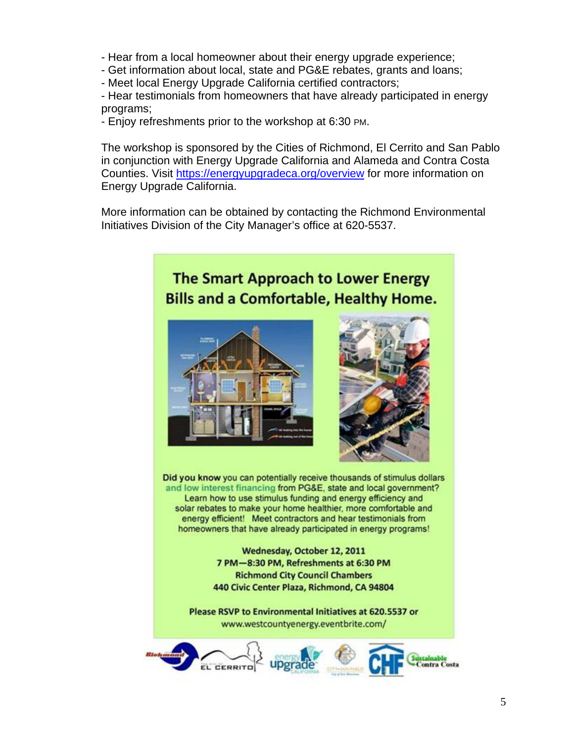- Hear from a local homeowner about their energy upgrade experience;
- Get information about local, state and PG&E rebates, grants and loans;
- Meet local Energy Upgrade California certified contractors;

- Hear testimonials from homeowners that have already participated in energy programs;

- Enjoy refreshments prior to the workshop at 6:30 PM.

The workshop is sponsored by the Cities of Richmond, El Cerrito and San Pablo in conjunction with Energy Upgrade California and Alameda and Contra Costa Counties. Visit https://energyupgradeca.org/overview for more information on Energy Upgrade California.

More information can be obtained by contacting the Richmond Environmental Initiatives Division of the City Manager's office at 620-5537.



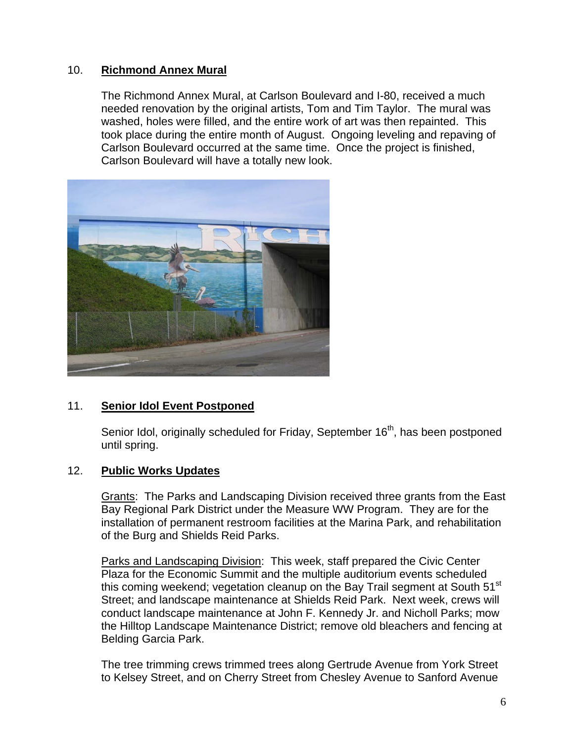### 10. **Richmond Annex Mural**

The Richmond Annex Mural, at Carlson Boulevard and I-80, received a much needed renovation by the original artists, Tom and Tim Taylor. The mural was washed, holes were filled, and the entire work of art was then repainted. This took place during the entire month of August. Ongoing leveling and repaving of Carlson Boulevard occurred at the same time. Once the project is finished, Carlson Boulevard will have a totally new look.



# 11. **Senior Idol Event Postponed**

Senior Idol, originally scheduled for Friday, September 16<sup>th</sup>, has been postponed until spring.

# 12. **Public Works Updates**

Grants: The Parks and Landscaping Division received three grants from the East Bay Regional Park District under the Measure WW Program. They are for the installation of permanent restroom facilities at the Marina Park, and rehabilitation of the Burg and Shields Reid Parks.

Parks and Landscaping Division: This week, staff prepared the Civic Center Plaza for the Economic Summit and the multiple auditorium events scheduled this coming weekend; vegetation cleanup on the Bay Trail segment at South 51<sup>st</sup> Street; and landscape maintenance at Shields Reid Park. Next week, crews will conduct landscape maintenance at John F. Kennedy Jr. and Nicholl Parks; mow the Hilltop Landscape Maintenance District; remove old bleachers and fencing at Belding Garcia Park.

The tree trimming crews trimmed trees along Gertrude Avenue from York Street to Kelsey Street, and on Cherry Street from Chesley Avenue to Sanford Avenue